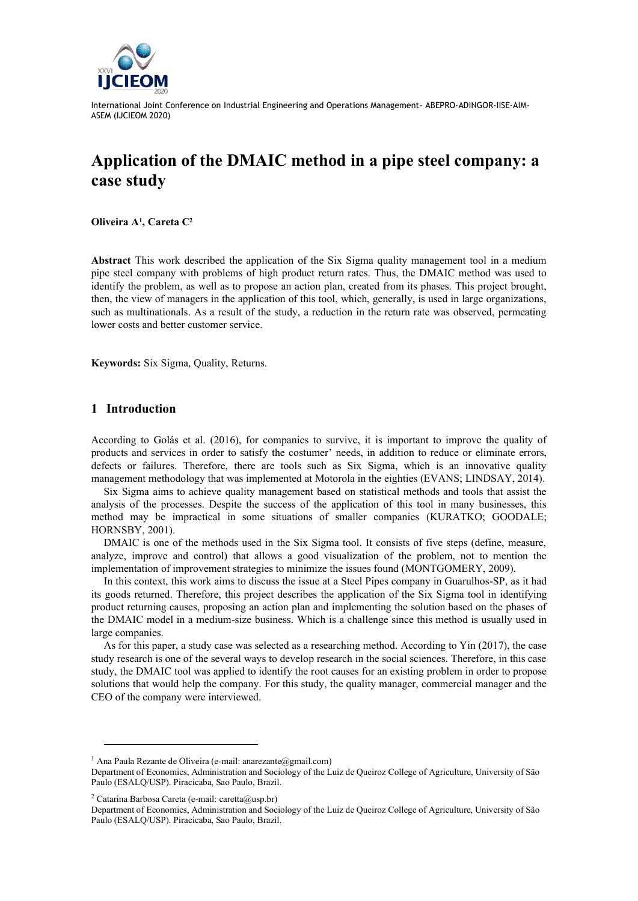

International Joint Conference on Industrial Engineering and Operations Management- ABEPRO-ADINGOR-IISE-AIM-ASEM (IJCIEOM 2020)

# **Application of the DMAIC method in a pipe steel company: a case study**

**Oliveira A<sup>1</sup> , Careta C<sup>2</sup>**

**Abstract** This work described the application of the Six Sigma quality management tool in a medium pipe steel company with problems of high product return rates. Thus, the DMAIC method was used to identify the problem, as well as to propose an action plan, created from its phases. This project brought, then, the view of managers in the application of this tool, which, generally, is used in large organizations, such as multinationals. As a result of the study, a reduction in the return rate was observed, permeating lower costs and better customer service.

**Keywords:** Six Sigma, Quality, Returns.

## **1 Introduction**

According to Golás et al. (2016), for companies to survive, it is important to improve the quality of products and services in order to satisfy the costumer' needs, in addition to reduce or eliminate errors, defects or failures. Therefore, there are tools such as Six Sigma, which is an innovative quality management methodology that was implemented at Motorola in the eighties (EVANS; LINDSAY, 2014).

Six Sigma aims to achieve quality management based on statistical methods and tools that assist the analysis of the processes. Despite the success of the application of this tool in many businesses, this method may be impractical in some situations of smaller companies (KURATKO; GOODALE; HORNSBY, 2001).

DMAIC is one of the methods used in the Six Sigma tool. It consists of five steps (define, measure, analyze, improve and control) that allows a good visualization of the problem, not to mention the implementation of improvement strategies to minimize the issues found (MONTGOMERY, 2009).

In this context, this work aims to discuss the issue at a Steel Pipes company in Guarulhos-SP, as it had its goods returned. Therefore, this project describes the application of the Six Sigma tool in identifying product returning causes, proposing an action plan and implementing the solution based on the phases of the DMAIC model in a medium-size business. Which is a challenge since this method is usually used in large companies.

As for this paper, a study case was selected as a researching method. According to Yin (2017), the case study research is one of the several ways to develop research in the social sciences. Therefore, in this case study, the DMAIC tool was applied to identify the root causes for an existing problem in order to propose solutions that would help the company. For this study, the quality manager, commercial manager and the CEO of the company were interviewed.

<sup>1</sup> Ana Paula Rezante de Oliveira (e-mail: anarezante@gmail.com)

Department of Economics, Administration and Sociology of the Luiz de Queiroz College of Agriculture, University of São Paulo (ESALQ/USP). Piracicaba, Sao Paulo, Brazil.

<sup>&</sup>lt;sup>2</sup> Catarina Barbosa Careta (e-mail: caretta@usp.br)

Department of Economics, Administration and Sociology of the Luiz de Queiroz College of Agriculture, University of São Paulo (ESALQ/USP). Piracicaba, Sao Paulo, Brazil.